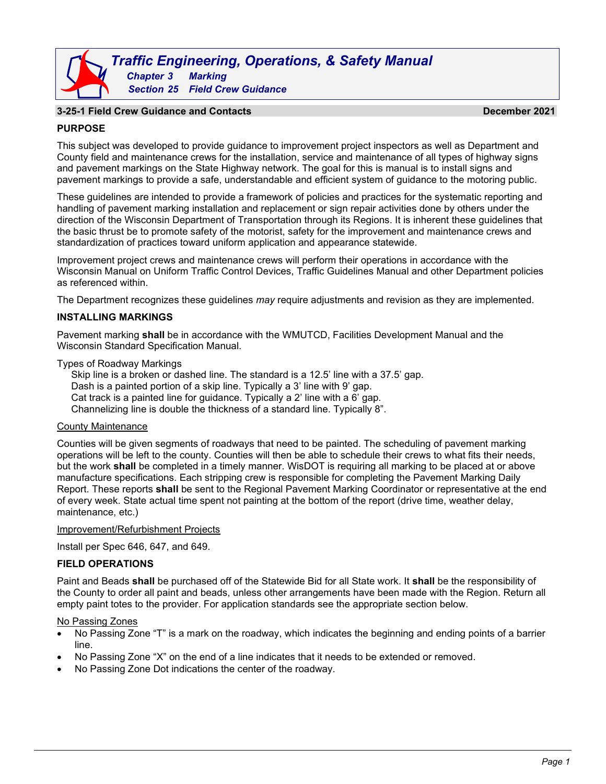# *Traffic Engineering, Operations, & Safety Manual Chapter 3 Marking Section 25 Field Crew Guidance*

# **3-25-1 Field Crew Guidance and Contacts December 2021**

# **PURPOSE**

This subject was developed to provide guidance to improvement project inspectors as well as Department and County field and maintenance crews for the installation, service and maintenance of all types of highway signs and pavement markings on the State Highway network. The goal for this is manual is to install signs and pavement markings to provide a safe, understandable and efficient system of guidance to the motoring public.

These guidelines are intended to provide a framework of policies and practices for the systematic reporting and handling of pavement marking installation and replacement or sign repair activities done by others under the direction of the Wisconsin Department of Transportation through its Regions. It is inherent these guidelines that the basic thrust be to promote safety of the motorist, safety for the improvement and maintenance crews and standardization of practices toward uniform application and appearance statewide.

Improvement project crews and maintenance crews will perform their operations in accordance with the Wisconsin Manual on Uniform Traffic Control Devices, Traffic Guidelines Manual and other Department policies as referenced within.

The Department recognizes these guidelines *may* require adjustments and revision as they are implemented.

#### **INSTALLING MARKINGS**

Pavement marking **shall** be in accordance with the WMUTCD, Facilities Development Manual and the Wisconsin Standard Specification Manual.

Types of Roadway Markings

Skip line is a broken or dashed line. The standard is a 12.5' line with a 37.5' gap. Dash is a painted portion of a skip line. Typically a 3' line with 9' gap. Cat track is a painted line for guidance. Typically a 2' line with a 6' gap. Channelizing line is double the thickness of a standard line. Typically 8".

### County Maintenance

Counties will be given segments of roadways that need to be painted. The scheduling of pavement marking operations will be left to the county. Counties will then be able to schedule their crews to what fits their needs, but the work **shall** be completed in a timely manner. WisDOT is requiring all marking to be placed at or above manufacture specifications. Each stripping crew is responsible for completing the Pavement Marking Daily Report. These reports **shall** be sent to the Regional Pavement Marking Coordinator or representative at the end of every week. State actual time spent not painting at the bottom of the report (drive time, weather delay, maintenance, etc.)

#### Improvement/Refurbishment Projects

Install per Spec 646, 647, and 649.

#### **FIELD OPERATIONS**

Paint and Beads **shall** be purchased off of the Statewide Bid for all State work. It **shall** be the responsibility of the County to order all paint and beads, unless other arrangements have been made with the Region. Return all empty paint totes to the provider. For application standards see the appropriate section below.

#### No Passing Zones

- No Passing Zone "T" is a mark on the roadway, which indicates the beginning and ending points of a barrier line.
- No Passing Zone "X" on the end of a line indicates that it needs to be extended or removed.
- No Passing Zone Dot indications the center of the roadway.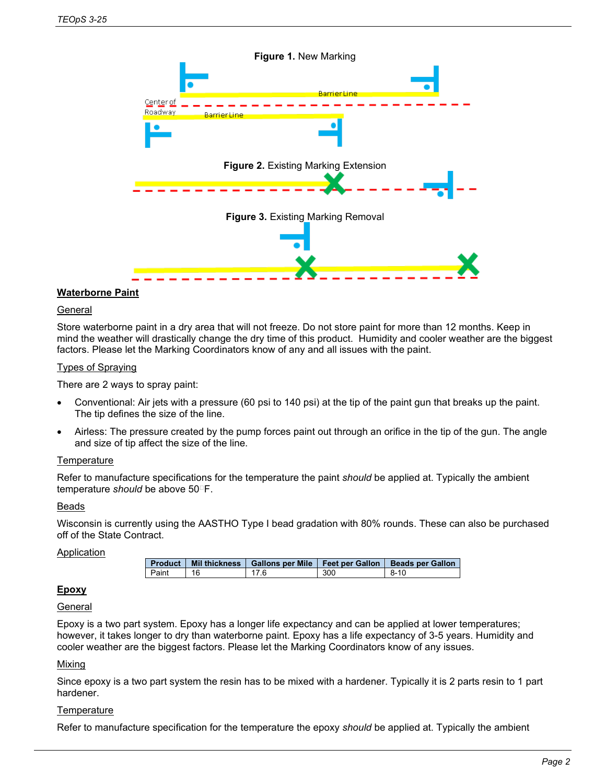

# **Waterborne Paint**

#### **General**

Store waterborne paint in a dry area that will not freeze. Do not store paint for more than 12 months. Keep in mind the weather will drastically change the dry time of this product. Humidity and cooler weather are the biggest factors. Please let the Marking Coordinators know of any and all issues with the paint.

#### Types of Spraying

There are 2 ways to spray paint:

- Conventional: Air jets with a pressure (60 psi to 140 psi) at the tip of the paint gun that breaks up the paint. The tip defines the size of the line.
- Airless: The pressure created by the pump forces paint out through an orifice in the tip of the gun. The angle and size of tip affect the size of the line.

#### **Temperature**

Refer to manufacture specifications for the temperature the paint *should* be applied at. Typically the ambient temperature *should* be above 50<sup>°</sup>F.

#### Beads

Wisconsin is currently using the AASTHO Type I bead gradation with 80% rounds. These can also be purchased off of the State Contract.

#### **Application**

|       |      |     | Product   Mil thickness   Gallons per Mile   Feet per Gallon   Beads per Gallon |
|-------|------|-----|---------------------------------------------------------------------------------|
| ⊃aint | 17 R | 30C | $8-10$                                                                          |

#### **Epoxy**

# **General**

Epoxy is a two part system. Epoxy has a longer life expectancy and can be applied at lower temperatures; however, it takes longer to dry than waterborne paint. Epoxy has a life expectancy of 3-5 years. Humidity and cooler weather are the biggest factors. Please let the Marking Coordinators know of any issues.

#### **Mixing**

Since epoxy is a two part system the resin has to be mixed with a hardener. Typically it is 2 parts resin to 1 part hardener.

#### **Temperature**

Refer to manufacture specification for the temperature the epoxy *should* be applied at. Typically the ambient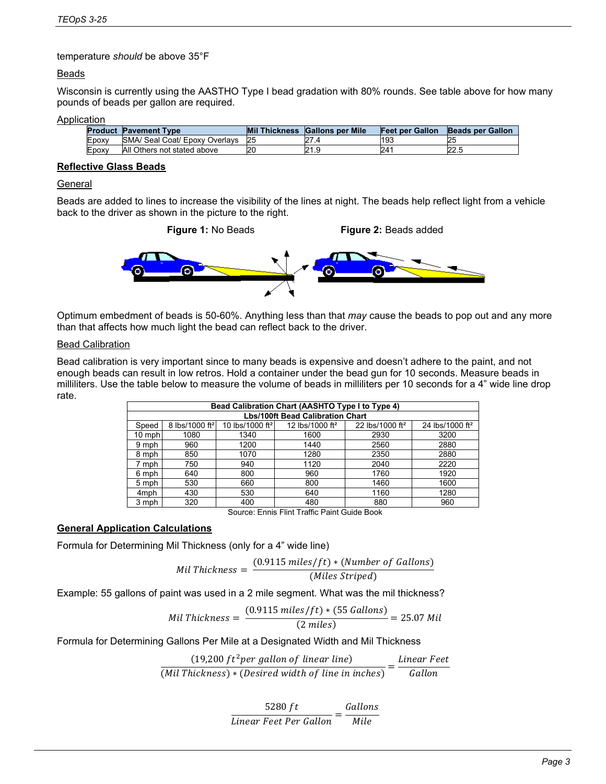temperature *should* be above 35°F

# Beads

Wisconsin is currently using the AASTHO Type I bead gradation with 80% rounds. See table above for how many pounds of beads per gallon are required.

#### **Application**

|       | <b>Product Pavement Type</b>   | <b>Mil Thickness</b> | <b>Gallons per Mile</b> | <b>Feet per Gallon</b> | <b>Beads per Gallon</b> |
|-------|--------------------------------|----------------------|-------------------------|------------------------|-------------------------|
| Epoxy | SMA/ Seal Coat/ Epoxy Overlays | 25                   | 27.4                    | 193                    | 25                      |
| Epoxy | All Others not stated above    |                      | 21.9                    | 241                    | 22.5                    |

# **Reflective Glass Beads**

#### **General**

Beads are added to lines to increase the visibility of the lines at night. The beads help reflect light from a vehicle back to the driver as shown in the picture to the right.



Optimum embedment of beads is 50-60%. Anything less than that *may* cause the beads to pop out and any more than that affects how much light the bead can reflect back to the driver.

#### Bead Calibration

Bead calibration is very important since to many beads is expensive and doesn't adhere to the paint, and not enough beads can result in low retros. Hold a container under the bead gun for 10 seconds. Measure beads in milliliters. Use the table below to measure the volume of beads in milliliters per 10 seconds for a 4" wide line drop rate.

| Bead Calibration Chart (AASHTO Type I to Type 4)                                                    |                            |                             |                             |                             |                             |  |  |
|-----------------------------------------------------------------------------------------------------|----------------------------|-----------------------------|-----------------------------|-----------------------------|-----------------------------|--|--|
| <b>Lbs/100ft Bead Calibration Chart</b>                                                             |                            |                             |                             |                             |                             |  |  |
| Speed                                                                                               | 8 lbs/1000 ft <sup>2</sup> | 10 lbs/1000 ft <sup>2</sup> | 12 lbs/1000 ft <sup>2</sup> | 22 lbs/1000 ft <sup>2</sup> | 24 lbs/1000 ft <sup>2</sup> |  |  |
| $10 \text{ mph}$                                                                                    | 1080                       | 1340                        | 1600                        | 2930                        | 3200                        |  |  |
| 9 mph                                                                                               | 960                        | 1200                        | 1440                        | 2560                        | 2880                        |  |  |
| 8 mph                                                                                               | 850                        | 1070                        | 1280                        | 2350                        | 2880                        |  |  |
| 7 mph                                                                                               | 750                        | 940                         | 1120                        | 2040                        | 2220                        |  |  |
| 6 mph                                                                                               | 640                        | 800                         | 960                         | 1760                        | 1920                        |  |  |
| 5 mph                                                                                               | 530                        | 660                         | 800                         | 1460                        | 1600                        |  |  |
| 4 <sub>mph</sub>                                                                                    | 430                        | 530                         | 640                         | 1160                        | 1280                        |  |  |
| 3 mph                                                                                               | 320                        | 400                         | 480                         | 880                         | 960                         |  |  |
| --<br>-----<br>$\sim$<br>$-\cdot$<br>$\overline{\phantom{0}}$<br>$\sim$<br>$\overline{\phantom{0}}$ |                            |                             |                             |                             |                             |  |  |

Source: Ennis Flint Traffic Paint Guide Book

# **General Application Calculations**

Formula for Determining Mil Thickness (only for a 4" wide line)

$$
Mil\;Thickness = \frac{(0.9115\;miles/ft)*(Number\;of\;Gallons)}{(Miles\;Striped)}
$$

Example: 55 gallons of paint was used in a 2 mile segment. What was the mil thickness?

$$
Mil\;Thickness = \frac{(0.9115\;miles/ft)*(55\;Gallons)}{(2\;miles)} = 25.07\;Mil
$$

Formula for Determining Gallons Per Mile at a Designated Width and Mil Thickness

$$
\frac{(19,200 ft^2 per gallon of linear line)}{(Mil Thicheness) * (Desired width of line in inches)} = \frac{Linear \, feet}{Gallon}
$$

 $\frac{5280 \text{ ft}}{Linear \text{ feet Per Gallon}} = \frac{GallG}{Mil}$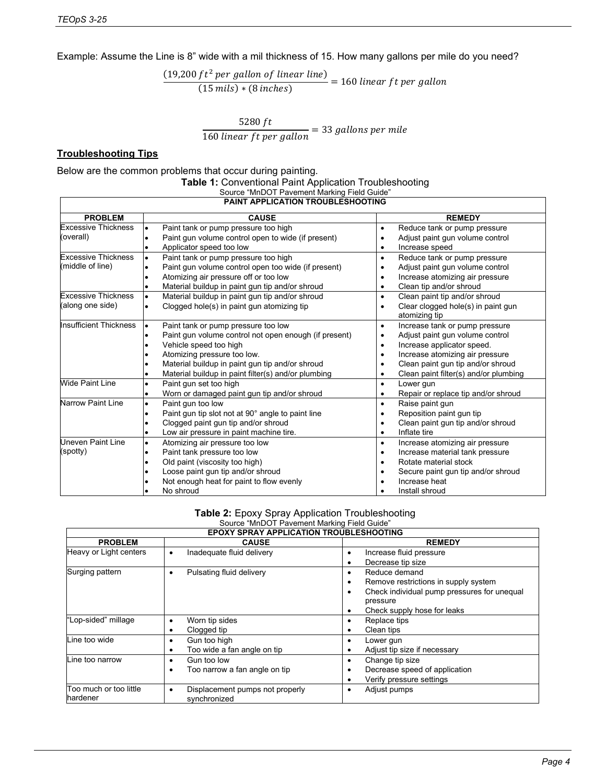Example: Assume the Line is 8" wide with a mil thickness of 15. How many gallons per mile do you need?

 $(19,200 ft^2 per$  gallon of linear line)  $\overline{(15 \text{ mils}) * (8 \text{ inches})}$  = 160 linear ft per g

 $\frac{5280 \text{ ft}}{160 \text{ linear ft per gallon}}$  = 33 gallons per m

# **Troubleshooting Tips**

#### Below are the common problems that occur during painting.

| <b>Table 1: Conventional Paint Application Troubleshooting</b><br>Source "MnDOT Pavement Marking Field Guide" |
|---------------------------------------------------------------------------------------------------------------|
| <b>DAINT ADDUCATION TROUBLESHOOTING</b>                                                                       |

| PAINT APPLICATION TROUBLESHOOTING |                                                                  |                                                  |  |  |  |
|-----------------------------------|------------------------------------------------------------------|--------------------------------------------------|--|--|--|
| <b>PROBLEM</b>                    | <b>CAUSE</b>                                                     | <b>REMEDY</b>                                    |  |  |  |
| <b>Excessive Thickness</b>        | Paint tank or pump pressure too high<br>$\bullet$                | Reduce tank or pump pressure<br>$\bullet$        |  |  |  |
| (overall)                         | Paint gun volume control open to wide (if present)<br>٠          | Adjust paint gun volume control<br>٠             |  |  |  |
|                                   | Applicator speed too low                                         | Increase speed<br>٠                              |  |  |  |
| <b>Excessive Thickness</b>        | Paint tank or pump pressure too high<br>$\bullet$                | Reduce tank or pump pressure<br>$\bullet$        |  |  |  |
| (middle of line)                  | Paint gun volume control open too wide (if present)              | Adjust paint gun volume control<br>$\bullet$     |  |  |  |
|                                   | Atomizing air pressure off or too low<br>$\bullet$               | Increase atomizing air pressure<br>٠             |  |  |  |
|                                   | Material buildup in paint gun tip and/or shroud<br>$\bullet$     | Clean tip and/or shroud<br>$\bullet$             |  |  |  |
| <b>Excessive Thickness</b>        | Material buildup in paint gun tip and/or shroud<br>$\bullet$     | Clean paint tip and/or shroud<br>$\bullet$       |  |  |  |
| (along one side)                  | Clogged hole(s) in paint gun atomizing tip<br>$\bullet$          | Clear clogged hole(s) in paint gun<br>$\bullet$  |  |  |  |
|                                   |                                                                  | atomizing tip                                    |  |  |  |
| <b>Insufficient Thickness</b>     | Paint tank or pump pressure too low<br>$\bullet$                 | Increase tank or pump pressure<br>$\bullet$      |  |  |  |
|                                   | Paint gun volume control not open enough (if present)            | Adjust paint gun volume control<br>¢             |  |  |  |
|                                   | Vehicle speed too high<br>$\bullet$                              | Increase applicator speed.<br>$\bullet$          |  |  |  |
|                                   | Atomizing pressure too low.<br>$\bullet$                         | Increase atomizing air pressure<br>$\bullet$     |  |  |  |
|                                   | Material buildup in paint gun tip and/or shroud<br>$\bullet$     | Clean paint gun tip and/or shroud                |  |  |  |
|                                   | Material buildup in paint filter(s) and/or plumbing<br>$\bullet$ | Clean paint filter(s) and/or plumbing<br>٠       |  |  |  |
| <b>Wide Paint Line</b>            | Paint gun set too high<br>$\bullet$                              | Lower gun<br>$\bullet$                           |  |  |  |
|                                   | Worn or damaged paint gun tip and/or shroud<br>$\bullet$         | Repair or replace tip and/or shroud<br>$\bullet$ |  |  |  |
| <b>Narrow Paint Line</b>          | Paint gun too low<br>$\bullet$                                   | Raise paint gun<br>$\bullet$                     |  |  |  |
|                                   | Paint gun tip slot not at 90° angle to paint line<br>$\bullet$   | Reposition paint gun tip<br>٠                    |  |  |  |
|                                   | Clogged paint gun tip and/or shroud                              | Clean paint gun tip and/or shroud                |  |  |  |
|                                   | Low air pressure in paint machine tire.<br>$\bullet$             | Inflate tire<br>$\bullet$                        |  |  |  |
| <b>Uneven Paint Line</b>          | Atomizing air pressure too low<br>$\bullet$                      | Increase atomizing air pressure<br>$\bullet$     |  |  |  |
| (spotty)                          | Paint tank pressure too low<br>$\bullet$                         | Increase material tank pressure<br>٠             |  |  |  |
|                                   | Old paint (viscosity too high)<br>$\bullet$                      | Rotate material stock<br>٠                       |  |  |  |
|                                   | Loose paint gun tip and/or shroud                                | Secure paint gun tip and/or shroud               |  |  |  |
|                                   | Not enough heat for paint to flow evenly                         | Increase heat                                    |  |  |  |
|                                   | No shroud                                                        | Install shroud                                   |  |  |  |

#### **Table 2:** Epoxy Spray Application Troubleshooting Source "MnDOT Pavement Marking Field Guide"

| <b>EPOXY SPRAY APPLICATION TROUBLESHOOTING</b> |                                       |                                             |  |  |  |
|------------------------------------------------|---------------------------------------|---------------------------------------------|--|--|--|
| <b>PROBLEM</b>                                 | <b>CAUSE</b>                          | <b>REMEDY</b>                               |  |  |  |
| Heavy or Light centers                         | Inadequate fluid delivery             | Increase fluid pressure                     |  |  |  |
|                                                |                                       | Decrease tip size                           |  |  |  |
| Surging pattern                                | Pulsating fluid delivery<br>$\bullet$ | Reduce demand                               |  |  |  |
|                                                |                                       | Remove restrictions in supply system        |  |  |  |
|                                                |                                       | Check individual pump pressures for unequal |  |  |  |
|                                                |                                       | pressure                                    |  |  |  |
|                                                |                                       | Check supply hose for leaks                 |  |  |  |
| "Lop-sided" millage                            | Worn tip sides                        | Replace tips                                |  |  |  |
|                                                | Clogged tip                           | Clean tips                                  |  |  |  |
| Line too wide                                  | Gun too high                          | Lower gun                                   |  |  |  |
|                                                | Too wide a fan angle on tip           | Adjust tip size if necessary                |  |  |  |
| Line too narrow                                | Gun too low                           | Change tip size                             |  |  |  |
|                                                | Too narrow a fan angle on tip         | Decrease speed of application               |  |  |  |
|                                                |                                       | Verify pressure settings                    |  |  |  |
| Too much or too little                         | Displacement pumps not properly<br>٠  | Adjust pumps                                |  |  |  |
| hardener                                       | synchronized                          |                                             |  |  |  |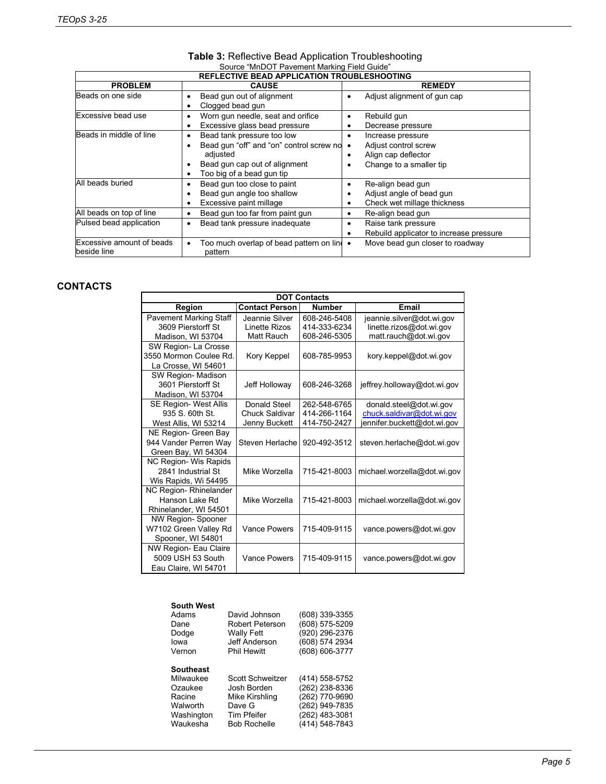| <b>REFLECTIVE BEAD APPLICATION TROUBLESHOOTING</b> |                                                                                                                                                       |                                                                                                                            |  |  |  |
|----------------------------------------------------|-------------------------------------------------------------------------------------------------------------------------------------------------------|----------------------------------------------------------------------------------------------------------------------------|--|--|--|
| <b>PROBLEM</b>                                     | <b>CAUSE</b>                                                                                                                                          | <b>REMEDY</b>                                                                                                              |  |  |  |
| Beads on one side                                  | Bead gun out of alignment<br>Clogged bead gun                                                                                                         | Adjust alignment of gun cap                                                                                                |  |  |  |
| Excessive bead use                                 | Worn gun needle, seat and orifice<br>Excessive glass bead pressure                                                                                    | Rebuild gun<br>Decrease pressure<br>٠                                                                                      |  |  |  |
| Beads in middle of line                            | Bead tank pressure too low<br>٠<br>Bead gun "off" and "on" control screw no<br>adjusted<br>Bead gun cap out of alignment<br>Too big of a bead gun tip | Increase pressure<br>$\bullet$<br>Adjust control screw<br>$\bullet$<br>Align cap deflector<br>٠<br>Change to a smaller tip |  |  |  |
| All beads buried                                   | Bead gun too close to paint<br>Bead gun angle too shallow<br>Excessive paint millage                                                                  | Re-align bead gun<br>٠<br>Adjust angle of bead gun<br>Check wet millage thickness<br>٠                                     |  |  |  |
| All beads on top of line                           | Bead gun too far from paint gun                                                                                                                       | Re-align bead gun<br>٠                                                                                                     |  |  |  |
| Pulsed bead application                            | Bead tank pressure inadequate                                                                                                                         | Raise tank pressure<br>Rebuild applicator to increase pressure                                                             |  |  |  |
| Excessive amount of beads<br>beside line           | Too much overlap of bead pattern on line .<br>pattern                                                                                                 | Move bead gun closer to roadway                                                                                            |  |  |  |

# **Table 3:** Reflective Bead Application Troubleshooting Source "MnDOT Pavement Marking Field Guide"

# **CONTACTS**

| <b>DOT Contacts</b>           |                       |               |                             |  |  |  |
|-------------------------------|-----------------------|---------------|-----------------------------|--|--|--|
| Region                        | <b>Contact Person</b> | <b>Number</b> | Email                       |  |  |  |
| <b>Pavement Marking Staff</b> | Jeannie Silver        | 608-246-5408  | jeannie.silver@dot.wi.gov   |  |  |  |
| 3609 Pierstorff St            | Linette Rizos         | 414-333-6234  | linette.rizos@dot.wi.gov    |  |  |  |
| Madison, WI 53704             | Matt Rauch            | 608-246-5305  | matt.rauch@dot.wi.gov       |  |  |  |
| SW Region-La Crosse           |                       |               |                             |  |  |  |
| 3550 Mormon Coulee Rd.        | Kory Keppel           | 608-785-9953  | kory.keppel@dot.wi.gov      |  |  |  |
| La Crosse, WI 54601           |                       |               |                             |  |  |  |
| SW Region- Madison            |                       |               |                             |  |  |  |
| 3601 Pierstorff St            | Jeff Holloway         | 608-246-3268  | jeffrey.holloway@dot.wi.gov |  |  |  |
| Madison, WI 53704             |                       |               |                             |  |  |  |
| <b>SE Region- West Allis</b>  | Donald Steel          | 262-548-6765  | donald.steel@dot.wi.gov     |  |  |  |
| 935 S. 60th St.               | Chuck Saldivar        | 414-266-1164  | chuck.saldivar@dot.wi.gov   |  |  |  |
| West Allis, WI 53214          | Jenny Buckett         | 414-750-2427  | jennifer buckett@dot.wi.gov |  |  |  |
| NE Region- Green Bay          |                       |               |                             |  |  |  |
| 944 Vander Perren Way         | Steven Herlache       | 920-492-3512  | steven.herlache@dot.wi.gov  |  |  |  |
| Green Bay, WI 54304           |                       |               |                             |  |  |  |
| <b>NC Region- Wis Rapids</b>  |                       |               |                             |  |  |  |
| 2841 Industrial St            | Mike Worzella         | 715-421-8003  | michael.worzella@dot.wi.gov |  |  |  |
| Wis Rapids, Wi 54495          |                       |               |                             |  |  |  |
| NC Region-Rhinelander         |                       |               |                             |  |  |  |
| Hanson Lake Rd                | Mike Worzella         | 715-421-8003  | michael.worzella@dot.wi.gov |  |  |  |
| Rhinelander, WI 54501         |                       |               |                             |  |  |  |
| <b>NW Region-Spooner</b>      |                       |               |                             |  |  |  |
| W7102 Green Valley Rd         | <b>Vance Powers</b>   | 715-409-9115  | vance.powers@dot.wi.gov     |  |  |  |
| Spooner, WI 54801             |                       |               |                             |  |  |  |
| NW Region- Eau Claire         |                       |               |                             |  |  |  |
| 5009 USH 53 South             | <b>Vance Powers</b>   | 715-409-9115  | vance.powers@dot.wi.gov     |  |  |  |
| Eau Claire, WI 54701          |                       |               |                             |  |  |  |

| <b>South West</b>                                                                 |                                                                                            |                                                                                                          |
|-----------------------------------------------------------------------------------|--------------------------------------------------------------------------------------------|----------------------------------------------------------------------------------------------------------|
| Adams                                                                             | David Johnson                                                                              | (608) 339-3355                                                                                           |
| Dane                                                                              | Robert Peterson                                                                            | (608) 575-5209                                                                                           |
| Dodge                                                                             | <b>Wally Fett</b>                                                                          | (920) 296-2376                                                                                           |
| lowa                                                                              | Jeff Anderson                                                                              | (608) 574 2934                                                                                           |
| Vernon                                                                            | <b>Phil Hewitt</b>                                                                         | (608) 606-3777                                                                                           |
| Southeast<br>Milwaukee<br>Ozaukee<br>Racine<br>Walworth<br>Washington<br>Waukesha | Scott Schweitzer<br>Josh Borden<br>Mike Kirshling<br>Dave G<br>Tim Pfeifer<br>Bob Rochelle | (414) 558-5752<br>(262) 238-8336<br>(262) 770-9690<br>(262) 949-7835<br>(262) 483-3081<br>(414) 548-7843 |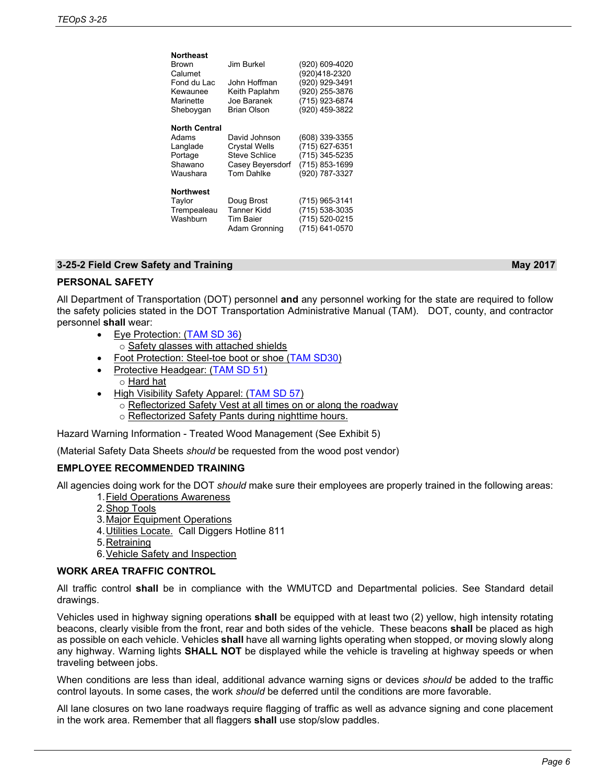| Northeast            |                      |                |
|----------------------|----------------------|----------------|
| <b>Brown</b>         | Jim Burkel           | (920) 609-4020 |
| Calumet              |                      | (920)418-2320  |
| Fond du Lac          | John Hoffman         | (920) 929-3491 |
| Kewaunee             | Keith Paplahm        | (920) 255-3876 |
| Marinette            | Joe Baranek          | (715) 923-6874 |
| Sheboygan            | <b>Brian Olson</b>   | (920) 459-3822 |
| <b>North Central</b> |                      |                |
| Adams                | David Johnson        | (608) 339-3355 |
| Langlade             | <b>Crystal Wells</b> | (715) 627-6351 |
| Portage              | <b>Steve Schlice</b> | (715) 345-5235 |
| Shawano              | Casey Beyersdorf     | (715) 853-1699 |
| Waushara             | <b>Tom Dahlke</b>    | (920) 787-3327 |
| <b>Northwest</b>     |                      |                |
| Taylor               | Doug Brost           | (715) 965-3141 |
| Trempealeau          | Tanner Kidd          | (715) 538-3035 |
| Washburn             | Tim Baier            | (715) 520-0215 |
|                      | Adam Gronning        | (715) 641-0570 |
|                      |                      |                |

# **3-25-2 Field Crew Safety and Training May 2017**

# **PERSONAL SAFETY**

All Department of Transportation (DOT) personnel **and** any personnel working for the state are required to follow the safety policies stated in the DOT Transportation Administrative Manual (TAM). DOT, county, and contractor personnel **shall** wear:

- Eye Protection: [\(TAM SD 36\)](http://dotnet/bmssafetyhazmat/tamsdirectives/docs/sd36-eye.doc)
	- o Safety glasses with attached shields • Foot Protection: Steel-toe boot or shoe [\(TAM SD30\)](http://dotnet/bmssafetyhazmat/tamsdirectives/docs/sd30-foot.doc)
- Protective Headgear: [\(TAM SD 51\)](http://dotnet/bmssafetyhazmat/tamsdirectives/docs/sd51-head.doc) o Hard hat
- High Visibility Safety Apparel: [\(TAM SD 57\)](http://dotnet/bmssafetyhazmat/tamsdirectives/docs/sd57-hiviz.doc)
	- o Reflectorized Safety Vest at all times on or along the roadway
	- o Reflectorized Safety Pants during nighttime hours.

Hazard Warning Information - Treated Wood Management (See Exhibit 5)

(Material Safety Data Sheets *should* be requested from the wood post vendor)

#### **EMPLOYEE RECOMMENDED TRAINING**

All agencies doing work for the DOT *should* make sure their employees are properly trained in the following areas:

- 1.Field Operations Awareness
- 2.Shop Tools
- 3.Major Equipment Operations
- 4.Utilities Locate. Call Diggers Hotline 811
- 5. Retraining
- 6.Vehicle Safety and Inspection

# **WORK AREA TRAFFIC CONTROL**

All traffic control **shall** be in compliance with the WMUTCD and Departmental policies. See Standard detail drawings.

Vehicles used in highway signing operations **shall** be equipped with at least two (2) yellow, high intensity rotating beacons, clearly visible from the front, rear and both sides of the vehicle. These beacons **shall** be placed as high as possible on each vehicle. Vehicles **shall** have all warning lights operating when stopped, or moving slowly along any highway. Warning lights **SHALL NOT** be displayed while the vehicle is traveling at highway speeds or when traveling between jobs.

When conditions are less than ideal, additional advance warning signs or devices *should* be added to the traffic control layouts. In some cases, the work *should* be deferred until the conditions are more favorable.

All lane closures on two lane roadways require flagging of traffic as well as advance signing and cone placement in the work area. Remember that all flaggers **shall** use stop/slow paddles.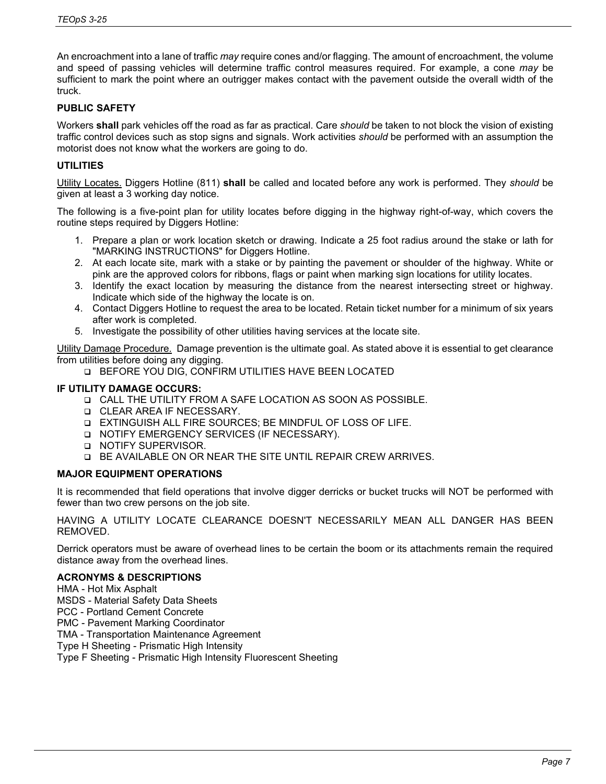An encroachment into a lane of traffic *may* require cones and/or flagging. The amount of encroachment, the volume and speed of passing vehicles will determine traffic control measures required. For example, a cone *may* be sufficient to mark the point where an outrigger makes contact with the pavement outside the overall width of the truck.

# **PUBLIC SAFETY**

Workers **shall** park vehicles off the road as far as practical. Care *should* be taken to not block the vision of existing traffic control devices such as stop signs and signals. Work activities *should* be performed with an assumption the motorist does not know what the workers are going to do.

# **UTILITIES**

Utility Locates. Diggers Hotline (811) **shall** be called and located before any work is performed. They *should* be given at least a 3 working day notice.

The following is a five-point plan for utility locates before digging in the highway right-of-way, which covers the routine steps required by Diggers Hotline:

- 1. Prepare a plan or work location sketch or drawing. Indicate a 25 foot radius around the stake or lath for "MARKING INSTRUCTIONS" for Diggers Hotline.
- 2. At each locate site, mark with a stake or by painting the pavement or shoulder of the highway. White or pink are the approved colors for ribbons, flags or paint when marking sign locations for utility locates.
- 3. Identify the exact location by measuring the distance from the nearest intersecting street or highway. Indicate which side of the highway the locate is on.
- 4. Contact Diggers Hotline to request the area to be located. Retain ticket number for a minimum of six years after work is completed.
- 5. Investigate the possibility of other utilities having services at the locate site.

Utility Damage Procedure. Damage prevention is the ultimate goal. As stated above it is essential to get clearance from utilities before doing any digging.

BEFORE YOU DIG, CONFIRM UTILITIES HAVE BEEN LOCATED

### **IF UTILITY DAMAGE OCCURS:**

- CALL THE UTILITY FROM A SAFE LOCATION AS SOON AS POSSIBLE.
- **Q** CLEAR AREA IF NECESSARY.
- EXTINGUISH ALL FIRE SOURCES; BE MINDFUL OF LOSS OF LIFE.
- **Q NOTIFY EMERGENCY SERVICES (IF NECESSARY).**
- **Q NOTIFY SUPERVISOR.**
- BE AVAILABLE ON OR NEAR THE SITE UNTIL REPAIR CREW ARRIVES.

#### **MAJOR EQUIPMENT OPERATIONS**

It is recommended that field operations that involve digger derricks or bucket trucks will NOT be performed with fewer than two crew persons on the job site.

HAVING A UTILITY LOCATE CLEARANCE DOESN'T NECESSARILY MEAN ALL DANGER HAS BEEN REMOVED.

Derrick operators must be aware of overhead lines to be certain the boom or its attachments remain the required distance away from the overhead lines.

#### **ACRONYMS & DESCRIPTIONS**

- HMA Hot Mix Asphalt
- MSDS Material Safety Data Sheets
- PCC Portland Cement Concrete
- PMC Pavement Marking Coordinator
- TMA Transportation Maintenance Agreement
- Type H Sheeting Prismatic High Intensity

Type F Sheeting - Prismatic High Intensity Fluorescent Sheeting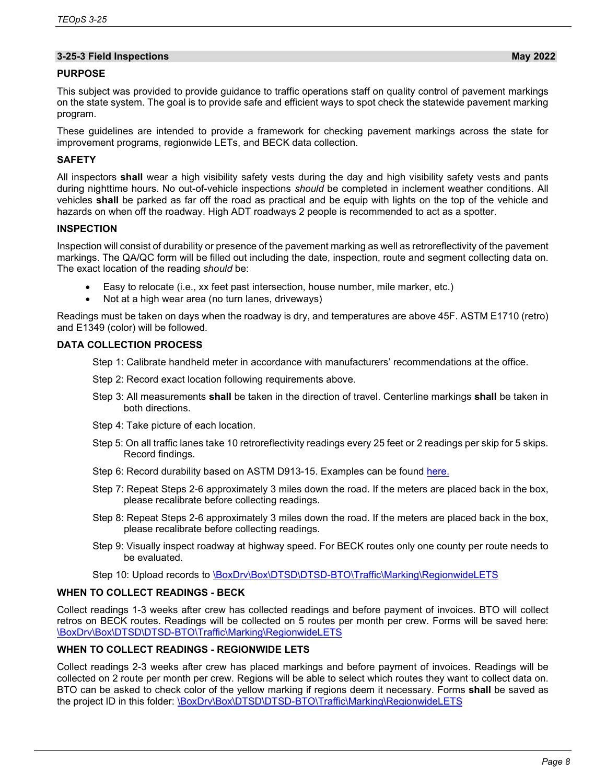# **3-25-3 Field Inspections May 2022**

### **PURPOSE**

This subject was provided to provide guidance to traffic operations staff on quality control of pavement markings on the state system. The goal is to provide safe and efficient ways to spot check the statewide pavement marking program.

These guidelines are intended to provide a framework for checking pavement markings across the state for improvement programs, regionwide LETs, and BECK data collection.

# **SAFETY**

All inspectors **shall** wear a high visibility safety vests during the day and high visibility safety vests and pants during nighttime hours. No out-of-vehicle inspections *should* be completed in inclement weather conditions. All vehicles **shall** be parked as far off the road as practical and be equip with lights on the top of the vehicle and hazards on when off the roadway. High ADT roadways 2 people is recommended to act as a spotter.

#### **INSPECTION**

Inspection will consist of durability or presence of the pavement marking as well as retroreflectivity of the pavement markings. The QA/QC form will be filled out including the date, inspection, route and segment collecting data on. The exact location of the reading *should* be:

- Easy to relocate (i.e., xx feet past intersection, house number, mile marker, etc.)
- Not at a high wear area (no turn lanes, driveways)

Readings must be taken on days when the roadway is dry, and temperatures are above 45F. ASTM E1710 (retro) and E1349 (color) will be followed.

#### **DATA COLLECTION PROCESS**

Step 1: Calibrate handheld meter in accordance with manufacturers' recommendations at the office.

- Step 2: Record exact location following requirements above.
- Step 3: All measurements **shall** be taken in the direction of travel. Centerline markings **shall** be taken in both directions.
- Step 4: Take picture of each location.
- Step 5: On all traffic lanes take 10 retroreflectivity readings every 25 feet or 2 readings per skip for 5 skips. Record findings.
- Step 6: Record durability based on ASTM D913-15. Examples can be found [here.](https://wisdot.box.com/s/ym1ysjo9ar1qvoaxydc1larak8ng69vs)
- Step 7: Repeat Steps 2-6 approximately 3 miles down the road. If the meters are placed back in the box, please recalibrate before collecting readings.
- Step 8: Repeat Steps 2-6 approximately 3 miles down the road. If the meters are placed back in the box, please recalibrate before collecting readings.
- Step 9: Visually inspect roadway at highway speed. For BECK routes only one county per route needs to be evaluated.
- Step 10: Upload records to \BoxDrv\Box\DTSD\DTSD-BTO\Traffic\Marking\RegionwideLETS

#### **WHEN TO COLLECT READINGS - BECK**

Collect readings 1-3 weeks after crew has collected readings and before payment of invoices. BTO will collect retros on BECK routes. Readings will be collected on 5 routes per month per crew. Forms will be saved here: \BoxDrv\Box\DTSD\DTSD-BTO\Traffic\Marking\RegionwideLETS

# **WHEN TO COLLECT READINGS - REGIONWIDE LETS**

Collect readings 2-3 weeks after crew has placed markings and before payment of invoices. Readings will be collected on 2 route per month per crew. Regions will be able to select which routes they want to collect data on. BTO can be asked to check color of the yellow marking if regions deem it necessary. Forms **shall** be saved as the project ID in this folder: \BoxDrv\Box\DTSD\DTSD-BTO\Traffic\Marking\RegionwideLETS